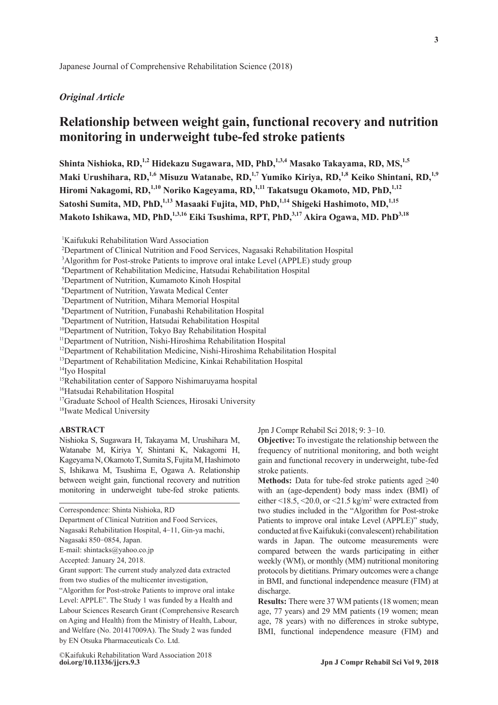# *Original Article*

# **Relationship between weight gain, functional recovery and nutrition monitoring in underweight tube-fed stroke patients**

Shinta Nishioka, RD,<sup>1,2</sup> Hidekazu Sugawara, MD, PhD,<sup>1,3,4</sup> Masako Takayama, RD, MS,<sup>1,5</sup> Maki Urushihara, RD,<sup>1,6</sup> Misuzu Watanabe, RD,<sup>1,7</sup> Yumiko Kiriya, RD,<sup>1,8</sup> Keiko Shintani, RD,<sup>1,9</sup> Hiromi Nakagomi, RD,<sup>1,10</sup> Noriko Kageyama, RD,<sup>1,11</sup> Takatsugu Okamoto, MD, PhD,<sup>1,12</sup> Satoshi Sumita, MD, PhD,<sup>1,13</sup> Masaaki Fujita, MD, PhD,<sup>1,14</sup> Shigeki Hashimoto, MD,<sup>1,15</sup> **Makoto Ishikawa, MD, PhD,1,3,16 Eiki Tsushima, RPT, PhD,3,17 Akira Ogawa, MD. PhD3,18**

1 Kaifukuki Rehabilitation Ward Association

<sup>3</sup>Algorithm for Post-stroke Patients to improve oral intake Level (APPLE) study group

- 7 Department of Nutrition, Mihara Memorial Hospital
- 8 Department of Nutrition, Funabashi Rehabilitation Hospital
- 9 Department of Nutrition, Hatsudai Rehabilitation Hospital
- <sup>10</sup>Department of Nutrition, Tokyo Bay Rehabilitation Hospital
- <sup>11</sup>Department of Nutrition, Nishi-Hiroshima Rehabilitation Hospital
- <sup>12</sup>Department of Rehabilitation Medicine, Nishi-Hiroshima Rehabilitation Hospital
- <sup>13</sup>Department of Rehabilitation Medicine, Kinkai Rehabilitation Hospital
- <sup>14</sup>Ivo Hospital
- <sup>15</sup>Rehabilitation center of Sapporo Nishimaruyama hospital
- <sup>16</sup>Hatsudai Rehabilitation Hospital
- <sup>17</sup>Graduate School of Health Sciences, Hirosaki University
- <sup>18</sup>Iwate Medical University

# **ABSTRACT**

Nishioka S, Sugawara H, Takayama M, Urushihara M, Watanabe M, Kiriya Y, Shintani K, Nakagomi H, Kageyama N, Okamoto T, Sumita S, Fujita M, Hashimoto S, Ishikawa M, Tsushima E, Ogawa A. Relationship between weight gain, functional recovery and nutrition monitoring in underweight tube-fed stroke patients. Jpn J Compr Rehabil Sci 2018; 9: 3-10.

**Objective:** To investigate the relationship between the frequency of nutritional monitoring, and both weight gain and functional recovery in underweight, tube-fed stroke patients.

**Methods:** Data for tube-fed stroke patients aged ≥40 with an (age-dependent) body mass index (BMI) of either  $\leq 18.5, \leq 20.0$ , or  $\leq 21.5$  kg/m<sup>2</sup> were extracted from two studies included in the "Algorithm for Post-stroke Patients to improve oral intake Level (APPLE)" study, conducted at five Kaifukuki (convalescent) rehabilitation wards in Japan. The outcome measurements were compared between the wards participating in either weekly (WM), or monthly (MM) nutritional monitoring protocols by dietitians. Primary outcomes were a change in BMI, and functional independence measure (FIM) at discharge.

**Results:** There were 37 WM patients (18 women; mean age, 77 years) and 29 MM patients (19 women; mean age, 78 years) with no differences in stroke subtype, BMI, functional independence measure (FIM) and

<sup>2</sup> Department of Clinical Nutrition and Food Services, Nagasaki Rehabilitation Hospital

<sup>4</sup> Department of Rehabilitation Medicine, Hatsudai Rehabilitation Hospital

<sup>5</sup> Department of Nutrition, Kumamoto Kinoh Hospital

<sup>6</sup> Department of Nutrition, Yawata Medical Center

Correspondence: Shinta Nishioka, RD

Department of Clinical Nutrition and Food Services,

Nagasaki Rehabilitation Hospital, 4-11, Gin-ya machi,

Nagasaki 850-0854, Japan.

E-mail: shintacks@yahoo.co.jp

Accepted: January 24, 2018.

Grant support: The current study analyzed data extracted from two studies of the multicenter investigation,

<sup>&</sup>quot;Algorithm for Post-stroke Patients to improve oral intake Level: APPLE". The Study 1 was funded by a Health and Labour Sciences Research Grant (Comprehensive Research on Aging and Health) from the Ministry of Health, Labour, and Welfare (No. 201417009A). The Study 2 was funded by EN Otsuka Pharmaceuticals Co. Ltd.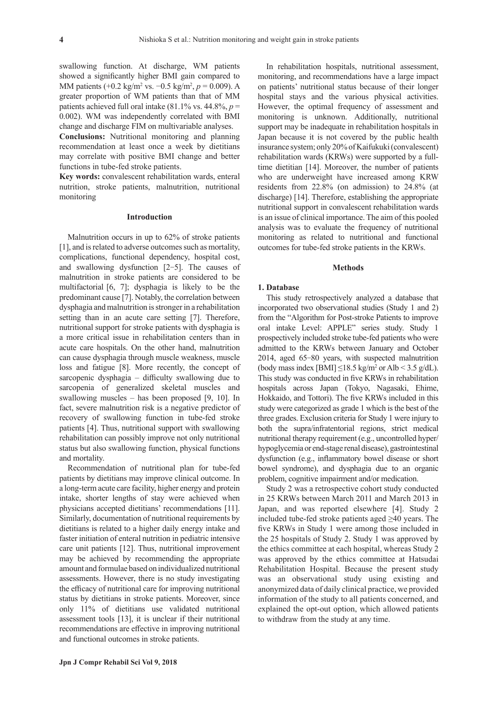swallowing function. At discharge, WM patients showed a significantly higher BMI gain compared to MM patients (+0.2 kg/m<sup>2</sup> vs. −0.5 kg/m<sup>2</sup>, p = 0.009). A greater proportion of WM patients than that of MM patients achieved full oral intake  $(81.1\% \text{ vs. } 44.8\%, p =$ 0.002). WM was independently correlated with BMI change and discharge FIM on multivariable analyses.

**Conclusions:** Nutritional monitoring and planning recommendation at least once a week by dietitians may correlate with positive BMI change and better functions in tube-fed stroke patients.

**Key words:** convalescent rehabilitation wards, enteral nutrition, stroke patients, malnutrition, nutritional monitoring

# **Introduction**

Malnutrition occurs in up to 62% of stroke patients [1], and is related to adverse outcomes such as mortality, complications, functional dependency, hospital cost, and swallowing dysfunction [2-5]. The causes of malnutrition in stroke patients are considered to be multifactorial [6, 7]; dysphagia is likely to be the predominant cause [7]. Notably, the correlation between dysphagia and malnutrition is stronger in a rehabilitation setting than in an acute care setting [7]. Therefore, nutritional support for stroke patients with dysphagia is a more critical issue in rehabilitation centers than in acute care hospitals. On the other hand, malnutrition can cause dysphagia through muscle weakness, muscle loss and fatigue [8]. More recently, the concept of sarcopenic dysphagia – difficulty swallowing due to sarcopenia of generalized skeletal muscles and swallowing muscles – has been proposed [9, 10]. In fact, severe malnutrition risk is a negative predictor of recovery of swallowing function in tube-fed stroke patients [4]. Thus, nutritional support with swallowing rehabilitation can possibly improve not only nutritional status but also swallowing function, physical functions and mortality.

Recommendation of nutritional plan for tube-fed patients by dietitians may improve clinical outcome. In a long-term acute care facility, higher energy and protein intake, shorter lengths of stay were achieved when physicians accepted dietitians' recommendations [11]. Similarly, documentation of nutritional requirements by dietitians is related to a higher daily energy intake and faster initiation of enteral nutrition in pediatric intensive care unit patients [12]. Thus, nutritional improvement may be achieved by recommending the appropriate amount and formulae based on individualized nutritional assessments. However, there is no study investigating the efficacy of nutritional care for improving nutritional status by dietitians in stroke patients. Moreover, since only 11% of dietitians use validated nutritional assessment tools [13], it is unclear if their nutritional recommendations are effective in improving nutritional and functional outcomes in stroke patients.

monitoring, and recommendations have a large impact on patients' nutritional status because of their longer hospital stays and the various physical activities. However, the optimal frequency of assessment and monitoring is unknown. Additionally, nutritional support may be inadequate in rehabilitation hospitals in Japan because it is not covered by the public health insurance system; only 20% of Kaifukuki (convalescent) rehabilitation wards (KRWs) were supported by a fulltime dietitian [14]. Moreover, the number of patients who are underweight have increased among KRW residents from 22.8% (on admission) to 24.8% (at discharge) [14]. Therefore, establishing the appropriate nutritional support in convalescent rehabilitation wards is an issue of clinical importance. The aim of this pooled analysis was to evaluate the frequency of nutritional monitoring as related to nutritional and functional outcomes for tube-fed stroke patients in the KRWs.

In rehabilitation hospitals, nutritional assessment,

#### **Methods**

# **1. Database**

This study retrospectively analyzed a database that incorporated two observational studies (Study 1 and 2) from the "Algorithm for Post-stroke Patients to improve oral intake Level: APPLE" series study. Study 1 prospectively included stroke tube-fed patients who were admitted to the KRWs between January and October 2014, aged 65-80 years, with suspected malnutrition (body mass index [BMI]  $\leq$ 18.5 kg/m<sup>2</sup> or Alb < 3.5 g/dL). This study was conducted in five KRWs in rehabilitation hospitals across Japan (Tokyo, Nagasaki, Ehime, Hokkaido, and Tottori). The five KRWs included in this study were categorized as grade 1 which is the best of the three grades. Exclusion criteria for Study 1 were injury to both the supra/infratentorial regions, strict medical nutritional therapy requirement (e.g., uncontrolled hyper/ hypoglycemia or end-stage renal disease), gastrointestinal dysfunction (e.g., inflammatory bowel disease or short bowel syndrome), and dysphagia due to an organic problem, cognitive impairment and/or medication.

Study 2 was a retrospective cohort study conducted in 25 KRWs between March 2011 and March 2013 in Japan, and was reported elsewhere [4]. Study 2 included tube-fed stroke patients aged  $\geq 40$  years. The five KRWs in Study 1 were among those included in the 25 hospitals of Study 2. Study 1 was approved by the ethics committee at each hospital, whereas Study 2 was approved by the ethics committee at Hatsudai Rehabilitation Hospital. Because the present study was an observational study using existing and anonymized data of daily clinical practice, we provided information of the study to all patients concerned, and explained the opt-out option, which allowed patients to withdraw from the study at any time.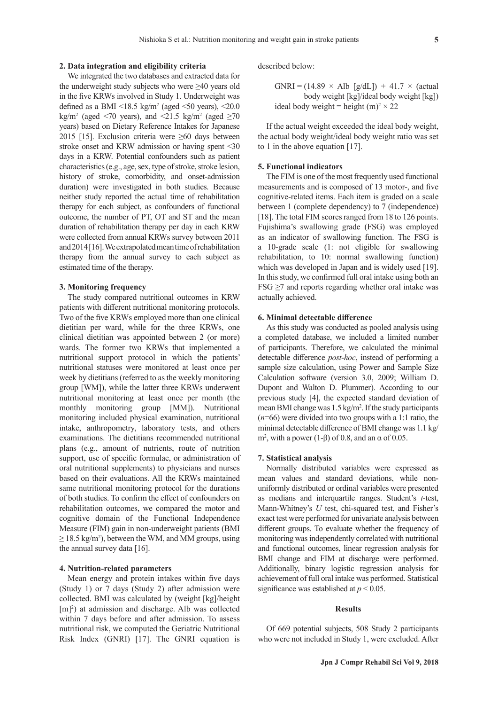#### **2. Data integration and eligibility criteria**

We integrated the two databases and extracted data for the underweight study subjects who were ≥40 years old in the five KRWs involved in Study 1. Underweight was defined as a BMI  $\leq 18.5$  kg/m<sup>2</sup> (aged  $\leq 50$  years),  $\leq 20.0$ kg/m<sup>2</sup> (aged <70 years), and <21.5 kg/m<sup>2</sup> (aged  $\geq$ 70 years) based on Dietary Reference Intakes for Japanese 2015 [15]. Exclusion criteria were ≥60 days between stroke onset and KRW admission or having spent <30 days in a KRW. Potential confounders such as patient characteristics (e.g., age, sex, type of stroke, stroke lesion, history of stroke, comorbidity, and onset-admission duration) were investigated in both studies. Because neither study reported the actual time of rehabilitation therapy for each subject, as confounders of functional outcome, the number of PT, OT and ST and the mean duration of rehabilitation therapy per day in each KRW were collected from annual KRWs survey between 2011 and 2014 [16]. We extrapolated mean time of rehabilitation therapy from the annual survey to each subject as estimated time of the therapy.

# **3. Monitoring frequency**

The study compared nutritional outcomes in KRW patients with different nutritional monitoring protocols. Two of the five KRWs employed more than one clinical dietitian per ward, while for the three KRWs, one clinical dietitian was appointed between 2 (or more) wards. The former two KRWs that implemented a nutritional support protocol in which the patients' nutritional statuses were monitored at least once per week by dietitians (referred to as the weekly monitoring group [WM]), while the latter three KRWs underwent nutritional monitoring at least once per month (the monthly monitoring group [MM]). Nutritional monitoring included physical examination, nutritional intake, anthropometry, laboratory tests, and others examinations. The dietitians recommended nutritional plans (e.g., amount of nutrients, route of nutrition support, use of specific formulae, or administration of oral nutritional supplements) to physicians and nurses based on their evaluations. All the KRWs maintained same nutritional monitoring protocol for the durations of both studies. To confirm the effect of confounders on rehabilitation outcomes, we compared the motor and cognitive domain of the Functional Independence Measure (FIM) gain in non-underweight patients (BMI  $\geq$  18.5 kg/m<sup>2</sup>), between the WM, and MM groups, using the annual survey data [16].

#### **4. Nutrition-related parameters**

Mean energy and protein intakes within five days (Study 1) or 7 days (Study 2) after admission were collected. BMI was calculated by (weight [kg]/height [m]<sup>2</sup>) at admission and discharge. Alb was collected within 7 days before and after admission. To assess nutritional risk, we computed the Geriatric Nutritional Risk Index (GNRI) [17]. The GNRI equation is

described below:

GNRI =  $(14.89 \times$  Alb  $[g/dL])$  + 41.7  $\times$  (actual body weight [kg]/ideal body weight [kg]) ideal body weight = height  $(m)^2 \times 22$ 

If the actual weight exceeded the ideal body weight, the actual body weight/ideal body weight ratio was set to 1 in the above equation [17].

### **5. Functional indicators**

The FIM is one of the most frequently used functional measurements and is composed of 13 motor-, and five cognitive-related items. Each item is graded on a scale between 1 (complete dependency) to 7 (independence) [18]. The total FIM scores ranged from 18 to 126 points. Fujishima's swallowing grade (FSG) was employed as an indicator of swallowing function. The FSG is a 10-grade scale (1: not eligible for swallowing rehabilitation, to 10: normal swallowing function) which was developed in Japan and is widely used [19]. In this study, we confirmed full oral intake using both an  $FSG \geq 7$  and reports regarding whether oral intake was actually achieved.

# **6. Minimal detectable difference**

As this study was conducted as pooled analysis using a completed database, we included a limited number of participants. Therefore, we calculated the minimal detectable difference *post-hoc*, instead of performing a sample size calculation, using Power and Sample Size Calculation software (version 3.0, 2009; William D. Dupont and Walton D. Plummer). According to our previous study [4], the expected standard deviation of mean BMI change was 1.5 kg/m<sup>2</sup>. If the study participants (*n*=66) were divided into two groups with a 1:1 ratio, the minimal detectable difference of BMI change was 1.1 kg/ m<sup>2</sup>, with a power (1-β) of 0.8, and an  $\alpha$  of 0.05.

# **7. Statistical analysis**

Normally distributed variables were expressed as mean values and standard deviations, while nonuniformly distributed or ordinal variables were presented as medians and interquartile ranges. Student's *t*-test, Mann-Whitney's *U* test, chi-squared test, and Fisher's exact test were performed for univariate analysis between different groups. To evaluate whether the frequency of monitoring was independently correlated with nutritional and functional outcomes, linear regression analysis for BMI change and FIM at discharge were performed. Additionally, binary logistic regression analysis for achievement of full oral intake was performed. Statistical significance was established at *p* < 0.05.

# **Results**

Of 669 potential subjects, 508 Study 2 participants who were not included in Study 1, were excluded. After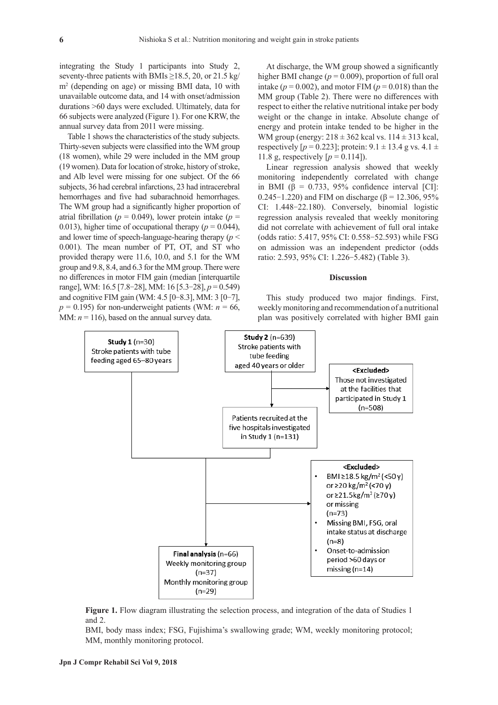integrating the Study 1 participants into Study 2, seventy-three patients with BMIs  $\geq$ 18.5, 20, or 21.5 kg/ m2 (depending on age) or missing BMI data, 10 with unavailable outcome data, and 14 with onset/admission durations >60 days were excluded. Ultimately, data for 66 subjects were analyzed (Figure 1). For one KRW, the annual survey data from 2011 were missing.

Table 1 shows the characteristics of the study subjects. Thirty-seven subjects were classified into the WM group (18 women), while 29 were included in the MM group (19 women). Data for location of stroke, history of stroke, and Alb level were missing for one subject. Of the 66 subjects, 36 had cerebral infarctions, 23 had intracerebral hemorrhages and five had subarachnoid hemorrhages. The WM group had a significantly higher proportion of atrial fibrillation ( $p = 0.049$ ), lower protein intake ( $p =$ 0.013), higher time of occupational therapy ( $p = 0.044$ ), and lower time of speech-language-hearing therapy (*p* < 0.001). The mean number of PT, OT, and ST who provided therapy were 11.6, 10.0, and 5.1 for the WM group and 9.8, 8.4, and 6.3 for the MM group. There were no differences in motor FIM gain (median [interquartile range], WM: 16.5 [7.8-28], MM: 16 [5.3-28], *p* = 0.549) and cognitive FIM gain (WM: 4.5 [0-8.3], MM: 3 [0-7],  $p = 0.195$ ) for non-underweight patients (WM:  $n = 66$ , MM:  $n = 116$ ), based on the annual survey data.

At discharge, the WM group showed a significantly higher BMI change ( $p = 0.009$ ), proportion of full oral intake ( $p = 0.002$ ), and motor FIM ( $p = 0.018$ ) than the MM group (Table 2). There were no differences with respect to either the relative nutritional intake per body weight or the change in intake. Absolute change of energy and protein intake tended to be higher in the WM group (energy:  $218 \pm 362$  kcal vs.  $114 \pm 313$  kcal, respectively  $[p = 0.223]$ ; protein:  $9.1 \pm 13.4$  g vs.  $4.1 \pm$ 11.8 g, respectively  $[p = 0.114]$ .

Linear regression analysis showed that weekly monitoring independently correlated with change in BMI ( $\beta$  = 0.733, 95% confidence interval [CI]: 0.245-1.220) and FIM on discharge (β = 12.306, 95%) CI: 1.448-22.180). Conversely, binomial logistic regression analysis revealed that weekly monitoring did not correlate with achievement of full oral intake (odds ratio: 5.417, 95% CI: 0.558-52.593) while FSG on admission was an independent predictor (odds ratio: 2.593, 95% CI: 1.226-5.482) (Table 3).

#### **Discussion**

This study produced two major findings. First, weekly monitoring and recommendation of a nutritional plan was positively correlated with higher BMI gain



**Figure 1.** Flow diagram illustrating the selection process, and integration of the data of Studies 1 and 2.

BMI, body mass index; FSG, Fujishima's swallowing grade; WM, weekly monitoring protocol; MM, monthly monitoring protocol.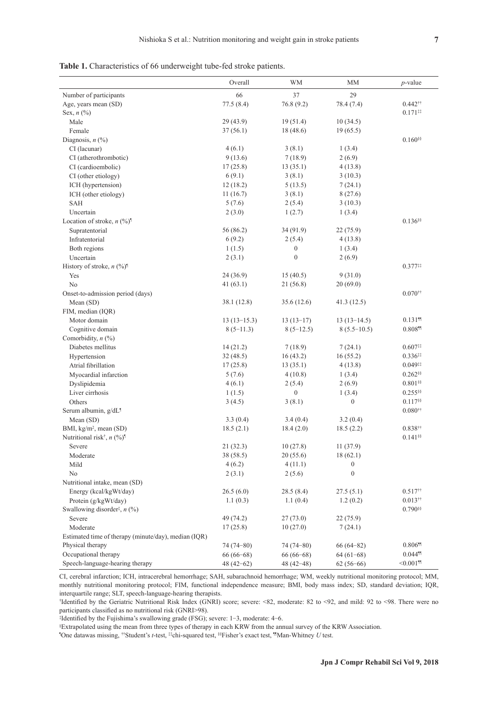| 29<br>Number of participants<br>66<br>37<br>Age, years mean (SD)<br>77.5(8.4)<br>76.8(9.2)<br>78.4 (7.4)<br>$0.442$ <sup>††</sup><br>Sex, $n$ $(\%)$<br>$0.171$ <sup>**</sup><br>Male<br>29 (43.9)<br>19(51.4)<br>10(34.5)<br>18 (48.6)<br>19(65.5)<br>Female<br>37(56.1)<br>Diagnosis, $n$ (%)<br>$0.160$ §§<br>3(8.1)<br>CI (lacunar)<br>4(6.1)<br>1(3.4)<br>9(13.6)<br>2(6.9)<br>CI (atherothrombotic)<br>7(18.9)<br>17(25.8)<br>CI (cardioembolic)<br>13(35.1)<br>4(13.8)<br>6(9.1)<br>3(8.1)<br>CI (other etiology)<br>3(10.3)<br>ICH (hypertension)<br>12(18.2)<br>5(13.5)<br>7(24.1)<br>ICH (other etiology)<br>11(16.7)<br>3(8.1)<br>8(27.6)<br>5(7.6)<br>2(5.4)<br>3(10.3)<br><b>SAH</b><br>Uncertain<br>2(3.0)<br>1(2.7)<br>1(3.4)<br>Location of stroke, $n$ (%) <sup><math>\dagger</math></sup><br>$0.136$ §§<br>56 (86.2)<br>Supratentorial<br>34 (91.9)<br>22 (75.9)<br>Infratentorial<br>6(9.2)<br>2(5.4)<br>4(13.8)<br>1(1.5)<br>$\boldsymbol{0}$<br>1(3.4)<br>Both regions<br>$\boldsymbol{0}$<br>Uncertain<br>2(3.1)<br>2(6.9)<br>History of stroke, $n$ (%) <sup>1</sup><br>$0.377**$<br>24 (36.9)<br>15(40.5)<br>9(31.0)<br>Yes<br>No<br>21(56.8)<br>41(63.1)<br>20(69.0)<br>Onset-to-admission period (days)<br>$0.070$ <sup>††</sup><br>Mean (SD)<br>38.1 (12.8)<br>35.6(12.6)<br>41.3(12.5)<br>FIM, median (IQR)<br>$0.131$ <sup>11</sup><br>Motor domain<br>$13(13-15.3)$<br>$13(13-17)$<br>$13(13-14.5)$<br>$0.808\text{\textdegree}$<br>Cognitive domain<br>$8(5-11.3)$<br>$8(5-12.5)$<br>$8(5.5-10.5)$<br>Comorbidity, $n$ (%)<br>Diabetes mellitus<br>7(24.1)<br>$0.607$ <sup>**</sup><br>14(21.2)<br>7(18.9)<br>16(55.2)<br>$0.336$ <sup>11</sup><br>Hypertension<br>32(48.5)<br>16(43.2)<br>17(25.8)<br>Atrial fibrillation<br>13(35.1)<br>4(13.8)<br>$0.049$ <sup>11</sup><br>$0.262$ §§<br>Myocardial infarction<br>5(7.6)<br>4(10.8)<br>1(3.4)<br>4(6.1)<br>2(5.4)<br>$0.801$ §§<br>Dyslipidemia<br>2(6.9)<br>Liver cirrhosis<br>$\overline{0}$<br>$0.255$ <sup>§§</sup><br>1(1.5)<br>1(3.4)<br>Others<br>3(8.1)<br>$\boldsymbol{0}$<br>$0.117$ <sup>§§</sup><br>3(4.5)<br>Serum albumin, g/dL <sup>1</sup><br>$0.080^{++}$<br>Mean (SD)<br>3.3(0.4)<br>3.4(0.4)<br>3.2(0.4)<br>BMI, kg/m <sup>2</sup> , mean (SD)<br>18.5(2.1)<br>18.4(2.0)<br>18.5(2.2)<br>$0.838$ <sup>††</sup><br>Nutritional risk <sup>†</sup> , $n$ (%) <sup><math>\uparrow</math></sup><br>$0.141$ <sup>§§</sup><br>21(32.3)<br>10(27.8)<br>11(37.9)<br>Severe<br>Moderate<br>38 (58.5)<br>20(55.6)<br>18(62.1)<br>Mild<br>4(6.2)<br>4(11.1)<br>$\boldsymbol{0}$<br>No<br>2(3.1)<br>2(5.6)<br>$\boldsymbol{0}$<br>Nutritional intake, mean (SD)<br>26.5(6.0)<br>$0.517$ <sup>††</sup><br>28.5(8.4)<br>27.5(5.1)<br>Energy (kcal/kgWt/day)<br>$0.013$ <sup>††</sup><br>Protein (g/kgWt/day)<br>1.1(0.3)<br>1.1(0.4)<br>1.2(0.2)<br>$0.790$ §§<br>Swallowing disorder <sup>†</sup> , $n$ (%) |        | Overall   | <b>WM</b> | MM       | $p$ -value |
|----------------------------------------------------------------------------------------------------------------------------------------------------------------------------------------------------------------------------------------------------------------------------------------------------------------------------------------------------------------------------------------------------------------------------------------------------------------------------------------------------------------------------------------------------------------------------------------------------------------------------------------------------------------------------------------------------------------------------------------------------------------------------------------------------------------------------------------------------------------------------------------------------------------------------------------------------------------------------------------------------------------------------------------------------------------------------------------------------------------------------------------------------------------------------------------------------------------------------------------------------------------------------------------------------------------------------------------------------------------------------------------------------------------------------------------------------------------------------------------------------------------------------------------------------------------------------------------------------------------------------------------------------------------------------------------------------------------------------------------------------------------------------------------------------------------------------------------------------------------------------------------------------------------------------------------------------------------------------------------------------------------------------------------------------------------------------------------------------------------------------------------------------------------------------------------------------------------------------------------------------------------------------------------------------------------------------------------------------------------------------------------------------------------------------------------------------------------------------------------------------------------------------------------------------------------------------------------------------------------------------------------------------------------------------------------------------------------------------------------------------------------------------------------------------------------------------------------------------------------------------------------------------|--------|-----------|-----------|----------|------------|
|                                                                                                                                                                                                                                                                                                                                                                                                                                                                                                                                                                                                                                                                                                                                                                                                                                                                                                                                                                                                                                                                                                                                                                                                                                                                                                                                                                                                                                                                                                                                                                                                                                                                                                                                                                                                                                                                                                                                                                                                                                                                                                                                                                                                                                                                                                                                                                                                                                                                                                                                                                                                                                                                                                                                                                                                                                                                                                    |        |           |           |          |            |
|                                                                                                                                                                                                                                                                                                                                                                                                                                                                                                                                                                                                                                                                                                                                                                                                                                                                                                                                                                                                                                                                                                                                                                                                                                                                                                                                                                                                                                                                                                                                                                                                                                                                                                                                                                                                                                                                                                                                                                                                                                                                                                                                                                                                                                                                                                                                                                                                                                                                                                                                                                                                                                                                                                                                                                                                                                                                                                    |        |           |           |          |            |
|                                                                                                                                                                                                                                                                                                                                                                                                                                                                                                                                                                                                                                                                                                                                                                                                                                                                                                                                                                                                                                                                                                                                                                                                                                                                                                                                                                                                                                                                                                                                                                                                                                                                                                                                                                                                                                                                                                                                                                                                                                                                                                                                                                                                                                                                                                                                                                                                                                                                                                                                                                                                                                                                                                                                                                                                                                                                                                    |        |           |           |          |            |
|                                                                                                                                                                                                                                                                                                                                                                                                                                                                                                                                                                                                                                                                                                                                                                                                                                                                                                                                                                                                                                                                                                                                                                                                                                                                                                                                                                                                                                                                                                                                                                                                                                                                                                                                                                                                                                                                                                                                                                                                                                                                                                                                                                                                                                                                                                                                                                                                                                                                                                                                                                                                                                                                                                                                                                                                                                                                                                    |        |           |           |          |            |
|                                                                                                                                                                                                                                                                                                                                                                                                                                                                                                                                                                                                                                                                                                                                                                                                                                                                                                                                                                                                                                                                                                                                                                                                                                                                                                                                                                                                                                                                                                                                                                                                                                                                                                                                                                                                                                                                                                                                                                                                                                                                                                                                                                                                                                                                                                                                                                                                                                                                                                                                                                                                                                                                                                                                                                                                                                                                                                    |        |           |           |          |            |
|                                                                                                                                                                                                                                                                                                                                                                                                                                                                                                                                                                                                                                                                                                                                                                                                                                                                                                                                                                                                                                                                                                                                                                                                                                                                                                                                                                                                                                                                                                                                                                                                                                                                                                                                                                                                                                                                                                                                                                                                                                                                                                                                                                                                                                                                                                                                                                                                                                                                                                                                                                                                                                                                                                                                                                                                                                                                                                    |        |           |           |          |            |
|                                                                                                                                                                                                                                                                                                                                                                                                                                                                                                                                                                                                                                                                                                                                                                                                                                                                                                                                                                                                                                                                                                                                                                                                                                                                                                                                                                                                                                                                                                                                                                                                                                                                                                                                                                                                                                                                                                                                                                                                                                                                                                                                                                                                                                                                                                                                                                                                                                                                                                                                                                                                                                                                                                                                                                                                                                                                                                    |        |           |           |          |            |
|                                                                                                                                                                                                                                                                                                                                                                                                                                                                                                                                                                                                                                                                                                                                                                                                                                                                                                                                                                                                                                                                                                                                                                                                                                                                                                                                                                                                                                                                                                                                                                                                                                                                                                                                                                                                                                                                                                                                                                                                                                                                                                                                                                                                                                                                                                                                                                                                                                                                                                                                                                                                                                                                                                                                                                                                                                                                                                    |        |           |           |          |            |
|                                                                                                                                                                                                                                                                                                                                                                                                                                                                                                                                                                                                                                                                                                                                                                                                                                                                                                                                                                                                                                                                                                                                                                                                                                                                                                                                                                                                                                                                                                                                                                                                                                                                                                                                                                                                                                                                                                                                                                                                                                                                                                                                                                                                                                                                                                                                                                                                                                                                                                                                                                                                                                                                                                                                                                                                                                                                                                    |        |           |           |          |            |
|                                                                                                                                                                                                                                                                                                                                                                                                                                                                                                                                                                                                                                                                                                                                                                                                                                                                                                                                                                                                                                                                                                                                                                                                                                                                                                                                                                                                                                                                                                                                                                                                                                                                                                                                                                                                                                                                                                                                                                                                                                                                                                                                                                                                                                                                                                                                                                                                                                                                                                                                                                                                                                                                                                                                                                                                                                                                                                    |        |           |           |          |            |
|                                                                                                                                                                                                                                                                                                                                                                                                                                                                                                                                                                                                                                                                                                                                                                                                                                                                                                                                                                                                                                                                                                                                                                                                                                                                                                                                                                                                                                                                                                                                                                                                                                                                                                                                                                                                                                                                                                                                                                                                                                                                                                                                                                                                                                                                                                                                                                                                                                                                                                                                                                                                                                                                                                                                                                                                                                                                                                    |        |           |           |          |            |
|                                                                                                                                                                                                                                                                                                                                                                                                                                                                                                                                                                                                                                                                                                                                                                                                                                                                                                                                                                                                                                                                                                                                                                                                                                                                                                                                                                                                                                                                                                                                                                                                                                                                                                                                                                                                                                                                                                                                                                                                                                                                                                                                                                                                                                                                                                                                                                                                                                                                                                                                                                                                                                                                                                                                                                                                                                                                                                    |        |           |           |          |            |
|                                                                                                                                                                                                                                                                                                                                                                                                                                                                                                                                                                                                                                                                                                                                                                                                                                                                                                                                                                                                                                                                                                                                                                                                                                                                                                                                                                                                                                                                                                                                                                                                                                                                                                                                                                                                                                                                                                                                                                                                                                                                                                                                                                                                                                                                                                                                                                                                                                                                                                                                                                                                                                                                                                                                                                                                                                                                                                    |        |           |           |          |            |
|                                                                                                                                                                                                                                                                                                                                                                                                                                                                                                                                                                                                                                                                                                                                                                                                                                                                                                                                                                                                                                                                                                                                                                                                                                                                                                                                                                                                                                                                                                                                                                                                                                                                                                                                                                                                                                                                                                                                                                                                                                                                                                                                                                                                                                                                                                                                                                                                                                                                                                                                                                                                                                                                                                                                                                                                                                                                                                    |        |           |           |          |            |
|                                                                                                                                                                                                                                                                                                                                                                                                                                                                                                                                                                                                                                                                                                                                                                                                                                                                                                                                                                                                                                                                                                                                                                                                                                                                                                                                                                                                                                                                                                                                                                                                                                                                                                                                                                                                                                                                                                                                                                                                                                                                                                                                                                                                                                                                                                                                                                                                                                                                                                                                                                                                                                                                                                                                                                                                                                                                                                    |        |           |           |          |            |
|                                                                                                                                                                                                                                                                                                                                                                                                                                                                                                                                                                                                                                                                                                                                                                                                                                                                                                                                                                                                                                                                                                                                                                                                                                                                                                                                                                                                                                                                                                                                                                                                                                                                                                                                                                                                                                                                                                                                                                                                                                                                                                                                                                                                                                                                                                                                                                                                                                                                                                                                                                                                                                                                                                                                                                                                                                                                                                    |        |           |           |          |            |
|                                                                                                                                                                                                                                                                                                                                                                                                                                                                                                                                                                                                                                                                                                                                                                                                                                                                                                                                                                                                                                                                                                                                                                                                                                                                                                                                                                                                                                                                                                                                                                                                                                                                                                                                                                                                                                                                                                                                                                                                                                                                                                                                                                                                                                                                                                                                                                                                                                                                                                                                                                                                                                                                                                                                                                                                                                                                                                    |        |           |           |          |            |
|                                                                                                                                                                                                                                                                                                                                                                                                                                                                                                                                                                                                                                                                                                                                                                                                                                                                                                                                                                                                                                                                                                                                                                                                                                                                                                                                                                                                                                                                                                                                                                                                                                                                                                                                                                                                                                                                                                                                                                                                                                                                                                                                                                                                                                                                                                                                                                                                                                                                                                                                                                                                                                                                                                                                                                                                                                                                                                    |        |           |           |          |            |
|                                                                                                                                                                                                                                                                                                                                                                                                                                                                                                                                                                                                                                                                                                                                                                                                                                                                                                                                                                                                                                                                                                                                                                                                                                                                                                                                                                                                                                                                                                                                                                                                                                                                                                                                                                                                                                                                                                                                                                                                                                                                                                                                                                                                                                                                                                                                                                                                                                                                                                                                                                                                                                                                                                                                                                                                                                                                                                    |        |           |           |          |            |
|                                                                                                                                                                                                                                                                                                                                                                                                                                                                                                                                                                                                                                                                                                                                                                                                                                                                                                                                                                                                                                                                                                                                                                                                                                                                                                                                                                                                                                                                                                                                                                                                                                                                                                                                                                                                                                                                                                                                                                                                                                                                                                                                                                                                                                                                                                                                                                                                                                                                                                                                                                                                                                                                                                                                                                                                                                                                                                    |        |           |           |          |            |
|                                                                                                                                                                                                                                                                                                                                                                                                                                                                                                                                                                                                                                                                                                                                                                                                                                                                                                                                                                                                                                                                                                                                                                                                                                                                                                                                                                                                                                                                                                                                                                                                                                                                                                                                                                                                                                                                                                                                                                                                                                                                                                                                                                                                                                                                                                                                                                                                                                                                                                                                                                                                                                                                                                                                                                                                                                                                                                    |        |           |           |          |            |
|                                                                                                                                                                                                                                                                                                                                                                                                                                                                                                                                                                                                                                                                                                                                                                                                                                                                                                                                                                                                                                                                                                                                                                                                                                                                                                                                                                                                                                                                                                                                                                                                                                                                                                                                                                                                                                                                                                                                                                                                                                                                                                                                                                                                                                                                                                                                                                                                                                                                                                                                                                                                                                                                                                                                                                                                                                                                                                    |        |           |           |          |            |
|                                                                                                                                                                                                                                                                                                                                                                                                                                                                                                                                                                                                                                                                                                                                                                                                                                                                                                                                                                                                                                                                                                                                                                                                                                                                                                                                                                                                                                                                                                                                                                                                                                                                                                                                                                                                                                                                                                                                                                                                                                                                                                                                                                                                                                                                                                                                                                                                                                                                                                                                                                                                                                                                                                                                                                                                                                                                                                    |        |           |           |          |            |
|                                                                                                                                                                                                                                                                                                                                                                                                                                                                                                                                                                                                                                                                                                                                                                                                                                                                                                                                                                                                                                                                                                                                                                                                                                                                                                                                                                                                                                                                                                                                                                                                                                                                                                                                                                                                                                                                                                                                                                                                                                                                                                                                                                                                                                                                                                                                                                                                                                                                                                                                                                                                                                                                                                                                                                                                                                                                                                    |        |           |           |          |            |
|                                                                                                                                                                                                                                                                                                                                                                                                                                                                                                                                                                                                                                                                                                                                                                                                                                                                                                                                                                                                                                                                                                                                                                                                                                                                                                                                                                                                                                                                                                                                                                                                                                                                                                                                                                                                                                                                                                                                                                                                                                                                                                                                                                                                                                                                                                                                                                                                                                                                                                                                                                                                                                                                                                                                                                                                                                                                                                    |        |           |           |          |            |
|                                                                                                                                                                                                                                                                                                                                                                                                                                                                                                                                                                                                                                                                                                                                                                                                                                                                                                                                                                                                                                                                                                                                                                                                                                                                                                                                                                                                                                                                                                                                                                                                                                                                                                                                                                                                                                                                                                                                                                                                                                                                                                                                                                                                                                                                                                                                                                                                                                                                                                                                                                                                                                                                                                                                                                                                                                                                                                    |        |           |           |          |            |
|                                                                                                                                                                                                                                                                                                                                                                                                                                                                                                                                                                                                                                                                                                                                                                                                                                                                                                                                                                                                                                                                                                                                                                                                                                                                                                                                                                                                                                                                                                                                                                                                                                                                                                                                                                                                                                                                                                                                                                                                                                                                                                                                                                                                                                                                                                                                                                                                                                                                                                                                                                                                                                                                                                                                                                                                                                                                                                    |        |           |           |          |            |
|                                                                                                                                                                                                                                                                                                                                                                                                                                                                                                                                                                                                                                                                                                                                                                                                                                                                                                                                                                                                                                                                                                                                                                                                                                                                                                                                                                                                                                                                                                                                                                                                                                                                                                                                                                                                                                                                                                                                                                                                                                                                                                                                                                                                                                                                                                                                                                                                                                                                                                                                                                                                                                                                                                                                                                                                                                                                                                    |        |           |           |          |            |
|                                                                                                                                                                                                                                                                                                                                                                                                                                                                                                                                                                                                                                                                                                                                                                                                                                                                                                                                                                                                                                                                                                                                                                                                                                                                                                                                                                                                                                                                                                                                                                                                                                                                                                                                                                                                                                                                                                                                                                                                                                                                                                                                                                                                                                                                                                                                                                                                                                                                                                                                                                                                                                                                                                                                                                                                                                                                                                    |        |           |           |          |            |
|                                                                                                                                                                                                                                                                                                                                                                                                                                                                                                                                                                                                                                                                                                                                                                                                                                                                                                                                                                                                                                                                                                                                                                                                                                                                                                                                                                                                                                                                                                                                                                                                                                                                                                                                                                                                                                                                                                                                                                                                                                                                                                                                                                                                                                                                                                                                                                                                                                                                                                                                                                                                                                                                                                                                                                                                                                                                                                    |        |           |           |          |            |
|                                                                                                                                                                                                                                                                                                                                                                                                                                                                                                                                                                                                                                                                                                                                                                                                                                                                                                                                                                                                                                                                                                                                                                                                                                                                                                                                                                                                                                                                                                                                                                                                                                                                                                                                                                                                                                                                                                                                                                                                                                                                                                                                                                                                                                                                                                                                                                                                                                                                                                                                                                                                                                                                                                                                                                                                                                                                                                    |        |           |           |          |            |
|                                                                                                                                                                                                                                                                                                                                                                                                                                                                                                                                                                                                                                                                                                                                                                                                                                                                                                                                                                                                                                                                                                                                                                                                                                                                                                                                                                                                                                                                                                                                                                                                                                                                                                                                                                                                                                                                                                                                                                                                                                                                                                                                                                                                                                                                                                                                                                                                                                                                                                                                                                                                                                                                                                                                                                                                                                                                                                    |        |           |           |          |            |
|                                                                                                                                                                                                                                                                                                                                                                                                                                                                                                                                                                                                                                                                                                                                                                                                                                                                                                                                                                                                                                                                                                                                                                                                                                                                                                                                                                                                                                                                                                                                                                                                                                                                                                                                                                                                                                                                                                                                                                                                                                                                                                                                                                                                                                                                                                                                                                                                                                                                                                                                                                                                                                                                                                                                                                                                                                                                                                    |        |           |           |          |            |
|                                                                                                                                                                                                                                                                                                                                                                                                                                                                                                                                                                                                                                                                                                                                                                                                                                                                                                                                                                                                                                                                                                                                                                                                                                                                                                                                                                                                                                                                                                                                                                                                                                                                                                                                                                                                                                                                                                                                                                                                                                                                                                                                                                                                                                                                                                                                                                                                                                                                                                                                                                                                                                                                                                                                                                                                                                                                                                    |        |           |           |          |            |
|                                                                                                                                                                                                                                                                                                                                                                                                                                                                                                                                                                                                                                                                                                                                                                                                                                                                                                                                                                                                                                                                                                                                                                                                                                                                                                                                                                                                                                                                                                                                                                                                                                                                                                                                                                                                                                                                                                                                                                                                                                                                                                                                                                                                                                                                                                                                                                                                                                                                                                                                                                                                                                                                                                                                                                                                                                                                                                    |        |           |           |          |            |
|                                                                                                                                                                                                                                                                                                                                                                                                                                                                                                                                                                                                                                                                                                                                                                                                                                                                                                                                                                                                                                                                                                                                                                                                                                                                                                                                                                                                                                                                                                                                                                                                                                                                                                                                                                                                                                                                                                                                                                                                                                                                                                                                                                                                                                                                                                                                                                                                                                                                                                                                                                                                                                                                                                                                                                                                                                                                                                    |        |           |           |          |            |
|                                                                                                                                                                                                                                                                                                                                                                                                                                                                                                                                                                                                                                                                                                                                                                                                                                                                                                                                                                                                                                                                                                                                                                                                                                                                                                                                                                                                                                                                                                                                                                                                                                                                                                                                                                                                                                                                                                                                                                                                                                                                                                                                                                                                                                                                                                                                                                                                                                                                                                                                                                                                                                                                                                                                                                                                                                                                                                    |        |           |           |          |            |
|                                                                                                                                                                                                                                                                                                                                                                                                                                                                                                                                                                                                                                                                                                                                                                                                                                                                                                                                                                                                                                                                                                                                                                                                                                                                                                                                                                                                                                                                                                                                                                                                                                                                                                                                                                                                                                                                                                                                                                                                                                                                                                                                                                                                                                                                                                                                                                                                                                                                                                                                                                                                                                                                                                                                                                                                                                                                                                    |        |           |           |          |            |
|                                                                                                                                                                                                                                                                                                                                                                                                                                                                                                                                                                                                                                                                                                                                                                                                                                                                                                                                                                                                                                                                                                                                                                                                                                                                                                                                                                                                                                                                                                                                                                                                                                                                                                                                                                                                                                                                                                                                                                                                                                                                                                                                                                                                                                                                                                                                                                                                                                                                                                                                                                                                                                                                                                                                                                                                                                                                                                    |        |           |           |          |            |
|                                                                                                                                                                                                                                                                                                                                                                                                                                                                                                                                                                                                                                                                                                                                                                                                                                                                                                                                                                                                                                                                                                                                                                                                                                                                                                                                                                                                                                                                                                                                                                                                                                                                                                                                                                                                                                                                                                                                                                                                                                                                                                                                                                                                                                                                                                                                                                                                                                                                                                                                                                                                                                                                                                                                                                                                                                                                                                    |        |           |           |          |            |
|                                                                                                                                                                                                                                                                                                                                                                                                                                                                                                                                                                                                                                                                                                                                                                                                                                                                                                                                                                                                                                                                                                                                                                                                                                                                                                                                                                                                                                                                                                                                                                                                                                                                                                                                                                                                                                                                                                                                                                                                                                                                                                                                                                                                                                                                                                                                                                                                                                                                                                                                                                                                                                                                                                                                                                                                                                                                                                    |        |           |           |          |            |
|                                                                                                                                                                                                                                                                                                                                                                                                                                                                                                                                                                                                                                                                                                                                                                                                                                                                                                                                                                                                                                                                                                                                                                                                                                                                                                                                                                                                                                                                                                                                                                                                                                                                                                                                                                                                                                                                                                                                                                                                                                                                                                                                                                                                                                                                                                                                                                                                                                                                                                                                                                                                                                                                                                                                                                                                                                                                                                    |        |           |           |          |            |
|                                                                                                                                                                                                                                                                                                                                                                                                                                                                                                                                                                                                                                                                                                                                                                                                                                                                                                                                                                                                                                                                                                                                                                                                                                                                                                                                                                                                                                                                                                                                                                                                                                                                                                                                                                                                                                                                                                                                                                                                                                                                                                                                                                                                                                                                                                                                                                                                                                                                                                                                                                                                                                                                                                                                                                                                                                                                                                    |        |           |           |          |            |
|                                                                                                                                                                                                                                                                                                                                                                                                                                                                                                                                                                                                                                                                                                                                                                                                                                                                                                                                                                                                                                                                                                                                                                                                                                                                                                                                                                                                                                                                                                                                                                                                                                                                                                                                                                                                                                                                                                                                                                                                                                                                                                                                                                                                                                                                                                                                                                                                                                                                                                                                                                                                                                                                                                                                                                                                                                                                                                    |        |           |           |          |            |
|                                                                                                                                                                                                                                                                                                                                                                                                                                                                                                                                                                                                                                                                                                                                                                                                                                                                                                                                                                                                                                                                                                                                                                                                                                                                                                                                                                                                                                                                                                                                                                                                                                                                                                                                                                                                                                                                                                                                                                                                                                                                                                                                                                                                                                                                                                                                                                                                                                                                                                                                                                                                                                                                                                                                                                                                                                                                                                    |        |           |           |          |            |
|                                                                                                                                                                                                                                                                                                                                                                                                                                                                                                                                                                                                                                                                                                                                                                                                                                                                                                                                                                                                                                                                                                                                                                                                                                                                                                                                                                                                                                                                                                                                                                                                                                                                                                                                                                                                                                                                                                                                                                                                                                                                                                                                                                                                                                                                                                                                                                                                                                                                                                                                                                                                                                                                                                                                                                                                                                                                                                    |        |           |           |          |            |
|                                                                                                                                                                                                                                                                                                                                                                                                                                                                                                                                                                                                                                                                                                                                                                                                                                                                                                                                                                                                                                                                                                                                                                                                                                                                                                                                                                                                                                                                                                                                                                                                                                                                                                                                                                                                                                                                                                                                                                                                                                                                                                                                                                                                                                                                                                                                                                                                                                                                                                                                                                                                                                                                                                                                                                                                                                                                                                    | Severe | 49 (74.2) | 27(73.0)  | 22(75.9) |            |
| 10(27.0)<br>Moderate<br>17(25.8)<br>7(24.1)                                                                                                                                                                                                                                                                                                                                                                                                                                                                                                                                                                                                                                                                                                                                                                                                                                                                                                                                                                                                                                                                                                                                                                                                                                                                                                                                                                                                                                                                                                                                                                                                                                                                                                                                                                                                                                                                                                                                                                                                                                                                                                                                                                                                                                                                                                                                                                                                                                                                                                                                                                                                                                                                                                                                                                                                                                                        |        |           |           |          |            |
| Estimated time of therapy (minute/day), median (IQR)                                                                                                                                                                                                                                                                                                                                                                                                                                                                                                                                                                                                                                                                                                                                                                                                                                                                                                                                                                                                                                                                                                                                                                                                                                                                                                                                                                                                                                                                                                                                                                                                                                                                                                                                                                                                                                                                                                                                                                                                                                                                                                                                                                                                                                                                                                                                                                                                                                                                                                                                                                                                                                                                                                                                                                                                                                               |        |           |           |          |            |
| Physical therapy<br>$0.806$ <sup>11</sup><br>$74(74-80)$<br>$74(74-80)$<br>$66(64-82)$                                                                                                                                                                                                                                                                                                                                                                                                                                                                                                                                                                                                                                                                                                                                                                                                                                                                                                                                                                                                                                                                                                                                                                                                                                                                                                                                                                                                                                                                                                                                                                                                                                                                                                                                                                                                                                                                                                                                                                                                                                                                                                                                                                                                                                                                                                                                                                                                                                                                                                                                                                                                                                                                                                                                                                                                             |        |           |           |          |            |
| Occupational therapy<br>$66(66-68)$<br>$66(66-68)$<br>$64(61-68)$<br>$0.044$ 11                                                                                                                                                                                                                                                                                                                                                                                                                                                                                                                                                                                                                                                                                                                                                                                                                                                                                                                                                                                                                                                                                                                                                                                                                                                                                                                                                                                                                                                                                                                                                                                                                                                                                                                                                                                                                                                                                                                                                                                                                                                                                                                                                                                                                                                                                                                                                                                                                                                                                                                                                                                                                                                                                                                                                                                                                    |        |           |           |          |            |
| Speech-language-hearing therapy<br>$< 0.001$ 11<br>$48(42-62)$<br>48 (42-48)<br>$62(56-66)$                                                                                                                                                                                                                                                                                                                                                                                                                                                                                                                                                                                                                                                                                                                                                                                                                                                                                                                                                                                                                                                                                                                                                                                                                                                                                                                                                                                                                                                                                                                                                                                                                                                                                                                                                                                                                                                                                                                                                                                                                                                                                                                                                                                                                                                                                                                                                                                                                                                                                                                                                                                                                                                                                                                                                                                                        |        |           |           |          |            |

CI, cerebral infarction; ICH, intracerebral hemorrhage; SAH, subarachnoid hemorrhage; WM, weekly nutritional monitoring protocol; MM, monthly nutritional monitoring protocol; FIM, functional independence measure; BMI, body mass index; SD, standard deviation; IQR, interquartile range; SLT, speech-language-hearing therapists.

† Identified by the Geriatric Nutritional Risk Index (GNRI) score; severe: <82, moderate: 82 to <92, and mild: 92 to <98. There were no participants classified as no nutritional risk (GNRI>98).

‡ Identified by the Fujishima's swallowing grade (FSG); severe: 1-3, moderate: 4-6.

§ Extrapolated using the mean from three types of therapy in each KRW from the annual survey of the KRW Association.

¶ One datawas missing, ††Student's *t*-test, ‡‡chi-squared test, §§Fisher's exact test, ¶¶Man-Whitney *U* test.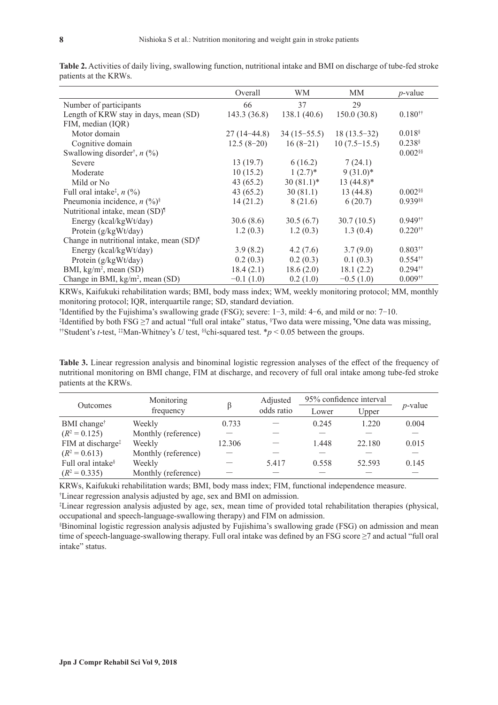|                                                                  | Overall       | WМ            | MМ             | $p$ -value            |
|------------------------------------------------------------------|---------------|---------------|----------------|-----------------------|
| Number of participants                                           | 66            | 37            | 29             |                       |
| Length of KRW stay in days, mean (SD)                            | 143.3 (36.8)  | 138.1(40.6)   | 150.0(30.8)    | $0.180$ <sup>††</sup> |
| FIM, median (IQR)                                                |               |               |                |                       |
| Motor domain                                                     | $27(14-44.8)$ | $34(15-55.5)$ | $18(13.5-32)$  | $0.018$ <sup>§</sup>  |
| Cognitive domain                                                 | $12.5(8-20)$  | $16(8-21)$    | $10(7.5-15.5)$ | $0.238$ <sup>§</sup>  |
| Swallowing disorder <sup>†</sup> , $n$ (%)                       |               |               |                | $0.002$ §§            |
| Severe                                                           | 13(19.7)      | 6(16.2)       | 7(24.1)        |                       |
| Moderate                                                         | 10(15.2)      | $1(2.7)^*$    | $9(31.0)^*$    |                       |
| Mild or No                                                       | 43(65.2)      | $30(81.1)^*$  | $13(44.8)$ *   |                       |
| Full oral intake <sup><math>\ddagger</math></sup> , <i>n</i> (%) | 43(65.2)      | 30(81.1)      | 13(44.8)       | $0.002$ <sup>§§</sup> |
| Pneumonia incidence, $n$ (%) <sup>§</sup>                        | 14(21.2)      | 8(21.6)       | 6(20.7)        | 0.939§§               |
| Nutritional intake, mean (SD) <sup>1</sup>                       |               |               |                |                       |
| Energy (kcal/kgWt/day)                                           | 30.6(8.6)     | 30.5(6.7)     | 30.7(10.5)     | $0.949$ <sup>††</sup> |
| Protein (g/kgWt/day)                                             | 1.2(0.3)      | 1.2(0.3)      | 1.3(0.4)       | $0.220$ <sup>††</sup> |
| Change in nutritional intake, mean (SD) <sup>1</sup>             |               |               |                |                       |
| Energy (kcal/kgWt/day)                                           | 3.9(8.2)      | 4.2(7.6)      | 3.7(9.0)       | $0.803$ <sup>††</sup> |
| Protein (g/kgWt/day)                                             | 0.2(0.3)      | 0.2(0.3)      | 0.1(0.3)       | $0.554$ <sup>††</sup> |
| BMI, $kg/m^2$ , mean (SD)                                        | 18.4(2.1)     | 18.6(2.0)     | 18.1(2.2)      | $0.294$ <sup>††</sup> |
| Change in BMI, kg/m <sup>2</sup> , mean (SD)                     | $-0.1(1.0)$   | 0.2(1.0)      | $-0.5(1.0)$    | $0.009$ <sup>††</sup> |

**Table 2.** Activities of daily living, swallowing function, nutritional intake and BMI on discharge of tube-fed stroke patients at the KRWs.

KRWs, Kaifukuki rehabilitation wards; BMI, body mass index; WM, weekly monitoring protocol; MM, monthly monitoring protocol; IQR, interquartile range; SD, standard deviation.

† Identified by the Fujishima's swallowing grade (FSG); severe: 1-3, mild: 4-6, and mild or no: 7-10.

‡ Identified by both FSG ≥7 and actual "full oral intake" status, § Two data were missing, ¶ One data was missing, ††Student's *t*-test, ‡‡Man-Whitney's *U* test, §§chi-squared test. \**p* < 0.05 between the groups.

**Table 3.** Linear regression analysis and binominal logistic regression analyses of the effect of the frequency of nutritional monitoring on BMI change, FIM at discharge, and recovery of full oral intake among tube-fed stroke patients at the KRWs.

| Outcomes                      | Monitoring<br>frequency |        | Adjusted   | 95% confidence interval |        |            |
|-------------------------------|-------------------------|--------|------------|-------------------------|--------|------------|
|                               |                         |        | odds ratio | Lower                   | Upper  | $p$ -value |
| BMI change <sup>†</sup>       | Weekly                  | 0.733  |            | 0.245                   | 1.220  | 0.004      |
| $(R^2 = 0.125)$               | Monthly (reference)     |        |            |                         |        |            |
| FIM at discharge <sup>‡</sup> | Weekly                  | 12.306 |            | 1.448                   | 22.180 | 0.015      |
| $(R^2 = 0.613)$               | Monthly (reference)     |        |            |                         |        |            |
| Full oral intake <sup>§</sup> | Weekly                  |        | 5.417      | 0.558                   | 52.593 | 0.145      |
| $(R^2 = 0.335)$               | Monthly (reference)     |        |            |                         |        |            |

KRWs, Kaifukuki rehabilitation wards; BMI, body mass index; FIM, functional independence measure. † Linear regression analysis adjusted by age, sex and BMI on admission.

‡ Linear regression analysis adjusted by age, sex, mean time of provided total rehabilitation therapies (physical, occupational and speech-language-swallowing therapy) and FIM on admission.

§ Binominal logistic regression analysis adjusted by Fujishima's swallowing grade (FSG) on admission and mean time of speech-language-swallowing therapy. Full oral intake was defined by an FSG score ≥7 and actual "full oral intake" status.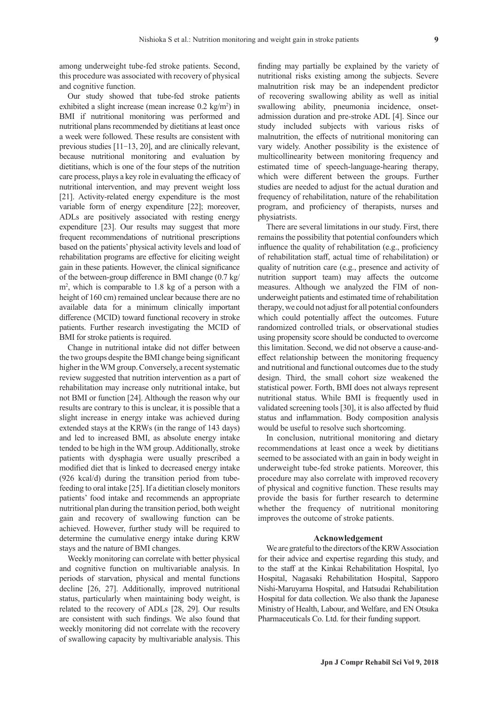among underweight tube-fed stroke patients. Second, this procedure was associated with recovery of physical and cognitive function.

Our study showed that tube-fed stroke patients exhibited a slight increase (mean increase 0.2 kg/m<sup>2</sup>) in BMI if nutritional monitoring was performed and nutritional plans recommended by dietitians at least once a week were followed. These results are consistent with previous studies [11-13, 20], and are clinically relevant, because nutritional monitoring and evaluation by dietitians, which is one of the four steps of the nutrition care process, plays a key role in evaluating the efficacy of nutritional intervention, and may prevent weight loss [21]. Activity-related energy expenditure is the most variable form of energy expenditure [22]; moreover, ADLs are positively associated with resting energy expenditure [23]. Our results may suggest that more frequent recommendations of nutritional prescriptions based on the patients' physical activity levels and load of rehabilitation programs are effective for eliciting weight gain in these patients. However, the clinical significance of the between-group difference in BMI change (0.7 kg/ m2 , which is comparable to 1.8 kg of a person with a height of 160 cm) remained unclear because there are no available data for a minimum clinically important difference (MCID) toward functional recovery in stroke patients. Further research investigating the MCID of BMI for stroke patients is required.

Change in nutritional intake did not differ between the two groups despite the BMI change being significant higher in the WM group. Conversely, a recent systematic review suggested that nutrition intervention as a part of rehabilitation may increase only nutritional intake, but not BMI or function [24]. Although the reason why our results are contrary to this is unclear, it is possible that a slight increase in energy intake was achieved during extended stays at the KRWs (in the range of 143 days) and led to increased BMI, as absolute energy intake tended to be high in the WM group. Additionally, stroke patients with dysphagia were usually prescribed a modified diet that is linked to decreased energy intake (926 kcal/d) during the transition period from tubefeeding to oral intake [25]. If a dietitian closely monitors patients' food intake and recommends an appropriate nutritional plan during the transition period, both weight gain and recovery of swallowing function can be achieved. However, further study will be required to determine the cumulative energy intake during KRW stays and the nature of BMI changes.

Weekly monitoring can correlate with better physical and cognitive function on multivariable analysis. In periods of starvation, physical and mental functions decline [26, 27]. Additionally, improved nutritional status, particularly when maintaining body weight, is related to the recovery of ADLs [28, 29]. Our results are consistent with such findings. We also found that weekly monitoring did not correlate with the recovery of swallowing capacity by multivariable analysis. This finding may partially be explained by the variety of nutritional risks existing among the subjects. Severe malnutrition risk may be an independent predictor of recovering swallowing ability as well as initial swallowing ability, pneumonia incidence, onsetadmission duration and pre-stroke ADL [4]. Since our study included subjects with various risks of malnutrition, the effects of nutritional monitoring can vary widely. Another possibility is the existence of multicollinearity between monitoring frequency and estimated time of speech-language-hearing therapy, which were different between the groups. Further studies are needed to adjust for the actual duration and frequency of rehabilitation, nature of the rehabilitation program, and proficiency of therapists, nurses and physiatrists.

There are several limitations in our study. First, there remains the possibility that potential confounders which influence the quality of rehabilitation (e.g., proficiency of rehabilitation staff, actual time of rehabilitation) or quality of nutrition care (e.g., presence and activity of nutrition support team) may affects the outcome measures. Although we analyzed the FIM of nonunderweight patients and estimated time of rehabilitation therapy, we could not adjust for all potential confounders which could potentially affect the outcomes. Future randomized controlled trials, or observational studies using propensity score should be conducted to overcome this limitation. Second, we did not observe a cause-andeffect relationship between the monitoring frequency and nutritional and functional outcomes due to the study design. Third, the small cohort size weakened the statistical power. Forth, BMI does not always represent nutritional status. While BMI is frequently used in validated screening tools [30], it is also affected by fluid status and inflammation. Body composition analysis would be useful to resolve such shortcoming.

In conclusion, nutritional monitoring and dietary recommendations at least once a week by dietitians seemed to be associated with an gain in body weight in underweight tube-fed stroke patients. Moreover, this procedure may also correlate with improved recovery of physical and cognitive function. These results may provide the basis for further research to determine whether the frequency of nutritional monitoring improves the outcome of stroke patients.

### **Acknowledgement**

We are grateful to the directors of the KRW Association for their advice and expertise regarding this study, and to the staff at the Kinkai Rehabilitation Hospital, Iyo Hospital, Nagasaki Rehabilitation Hospital, Sapporo Nishi-Maruyama Hospital, and Hatsudai Rehabilitation Hospital for data collection. We also thank the Japanese Ministry of Health, Labour, and Welfare, and EN Otsuka Pharmaceuticals Co. Ltd. for their funding support.